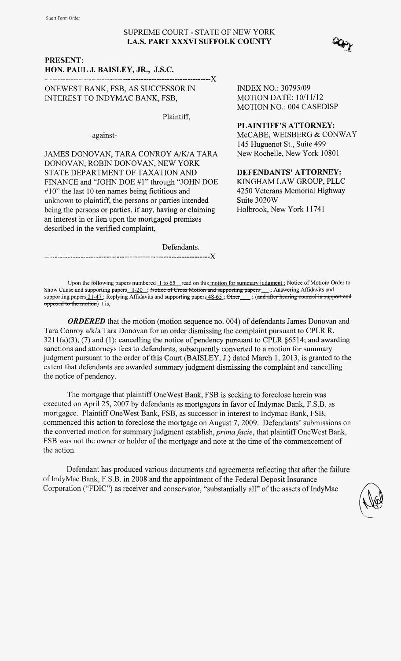## SUPREME COURT - STATE OF NEW YORK **I.A.S. PART XXXVI SUFFOLK COUNTY**

------------X

#### PRESENT: HON. PAUL J. BAISLEY, JR., J.S.C.

ONEWEST BANK, FSB, AS SUCCESSOR IN INTEREST TO INDYMAC BANK, FSB,

Plaintiff,

-against-

JAMES DONOVAN, TARA CONROY A/K/A TARA DONOVAN, ROBIN DONOVAN, NEW YORK STATE DEPARTMENT OF TAXATION AND FINANCE and "JOHN DOE #1" through "JOHN DOE  $#10"$  the last 10 ten names being fictitious and unknown to plaintiff, the persons or parties intended being the persons or parties, if any, having or claiming an interest in or lien upon the mortgaged premises described in the verified complaint, 145 Huguenot St., Suite 499<br>
DONOVAN, ROBIN DONOVAN, NEW YORK<br>
STATE DEPARTMENT OF TAXATION AND<br>
STATE DEPARTMENT OF TAXATION AND<br>
FINANCE and "JOHN DOE #1" through "JOHN DOE KINGHAM LAW GROUP, PL<br>  $\#10$ " the last 10 ten N DONOVAN, NEW YORK<br>
IENT OF TAXATION AND<br>
HOTE #1" through "JOHN DOE" KINGHAM LAW GROUP, PLLC<br>
mames being fictitious and<br>
f, the persons or parties intended<br>
f, the persons or parties intended<br>
f, the persons or parties

INDEX NO.: 30795/09 **MOTION DATE: 10/11/12** MOTION NO.: 004 CASEDISP

## **PLAINTIFF'S ATTORNEY:**

McCABE, WEISBERG & CONWAY 145 Huguenot St., Suite 499 New Rochelle, New York 10801

## **DEFENDANTS' ATTORNEY:**

KINGHAM LAW GROUP, PLLC 4250 Veterans Memorial Highway Suite 3020W Holbrook, New York 1 174 1

Upon the following papers numbered 1 to 65 read on this motion for summary judgment : Notice of Motion/ Order to Show Cause and supporting papers 1-20 ; Notice of Cross Motion and supporting papers \_\_\_; Answering Affidavit opposed to the motion) it is, supporting papers 21-47; I

*ORDERED* that the motion (motion sequence no. 004) of defendants James Donovan and Tara Conroy a/k/a Tara Donovan for an order dismissing the complaint pursuant to CPLR R.  $3211(a)(3)$ , (7) and (1); cancelling the notice of pendency pursuant to CPLR  $§6514$ ; and awarding sanctions and attorneys fees to defendants, subsequently converted to a motion for summary judgment pursuant to the order of this Court (BAISLEY, J.) dated March 1, 2013, is granted to the extent that defendants are awarded summary judgment dismissing the complaint and cancelling the notice of pendency.

The mortgage that plaintiff OneWest Bank, FSB is seeking to foreclose herein was executed on April 25,2007 by defendants as mortgagors in favor of Indymac Bank, F.S.B. as mortgagee. Plaintiff OneWest Bank, FSB, as successor in interest to Indymac Bank, FSB, commenced this action to foreclose the mortgage on August 7,2009. Defendants' submissions on the converted motion for summary judgment establish, *prima facie,* that plaintiff OneWest Bank, FSB was not the owner or holder of the mortgage and note at the time of the commencement of the action.

Defendant has produced various documents and agreements reflecting that after the failure of IndyMac Bank, F.S.B. in 2008 and the appointment of the Federal Deposit Insurance Corporation ("FDIC") as receiver and conservator, "substantially all" of the assets of IndyMac



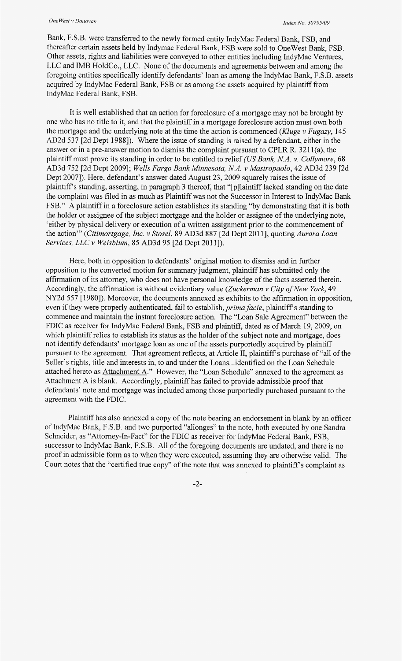Bank, F.S.B. were transferred to the newly formed entity IndyMac Federal Bank, FSB, and thereafter certain assets held by Indymac Federal Bank, FSB were sold to OneWest Bank, FSB. Other assets, rights and liabilities were conveyed to other entities including IndyMac Ventures, LLC and IMB HoldCo., LLC. None of the documents and agreements between and among the foregoing entities specifically identify defendants' loan as among the IndyMac Bank, F.S.B. assets acquired by IndyMac Federal Bank, FSB or as among the assets acquired by plaintiff from IndyMac Federal Bank, FSB.

It is well established that an action for foreclosure of a mortgage may not be brought by one who has no title to it, and that the plaintiff in a mortgage foreclosure action must own both the mortgage and the underlying note at the time the action is commenced *(Kluge* v *Fugazy,* 145 AD2d 537 [2d Dept 19881). Where the issue of standing is raised by a defendant, either in the answer or in a pre-answer motion to dismiss the complaint pursuant to CPLR R.  $3211(a)$ , the plaintiff must prove its standing in order to be entitled to relief *(US Bank, MA. v. Collymore, 68*  AD3d 752 [2d Dept 20091; *Wells Fargo Bank Minnesota, NA. v Mastropaolo,* 42 AD3d 239 [2d Dept 2007]). Here, defendant's answer dated August 23, 2009 squarely raises the issue of plaintiffs standing, asserting, in paragraph 3 thereof, that "[pllaintiff lacked standing on the date the complaint was filed in as much as Plaintiff was not the Successor in Interest to IndyMac Bank FSB." **A** plaintiff in a foreclosure action establishes its standing "by demonstrating that it is both the holder or assignee of the subject mortgage and the holder or assignee of the underlying note, 'either by physical delivery or execution of a written assignment prior to the commencement of the action"' *(Citimortgage, Inc.* v *Stosel,* 89 AD3d 887 [2d Dept 201 11, quoting *Aurora Loan Services, LLC v Weisblum, 85 AD3d 95 [2d Dept 2011]).* 

Here, both in opposition to defendants' original motion to dismiss and in further opposition to the converted motion for summary judgment, plaintiff has submitted only the affirmation of its attorney, who does not have personal knowledge of the facts asserted therein. Accordingly, the affirmation is without evidentiary value *(Zuckerman v City of New York*, 49 NY2d 557 [1980]). Moreover, the documents annexed as exhibits to the affirmation in opposition, even if they were properly authenticated, fail to establish, *prima facie*, plaintiff's standing to commence and maintain the instant foreclosure action. The "Loan Sale Agreement" between the FDIC as receiver for IndyMac Federal Bank, FSB and plaintiff, dated as of March 19, 2009, on which plaintiff relies to establish its status as the holder of the subject note and mortgage, does not identify defendants' mortgage loan as one of the assets purportedly acquired by plaintiff pursuant to the agreement. That agreement reflects, at Article II, plaintiff's purchase of "all of the Seller's rights, title and interests in, to and under the Loans... identified on the Loan Schedule attached hereto as  $Attentionment A$ ." However, the "Loan Schedule" annexed to the agreement as</u> Attachment A is blank. Accordingly, plaintiff has failed to provide admissible proof that defendants' note and mortgage was included among those purportedly purchased pursuant to the agreement with the FDIC.

Plaintiff has also annexed a copy of the note bearing an endorsement in blank by an officer of IndyMac Bank, F.S.B. and two purported "allonges" to the note, both executed by one Sandra Schneider, as "Attorney-In-Fact" for the FDIC as receiver for IndyMac Federal Bank, FSB, successor to IndyMac Bank, F.S.B. All of the foregoing documents are undated, and there is no proof in admissible form as to when they were executed, assuming they are otherwise valid. The Court notes that the "certified true copy" of the note that was annexed to plaintiff's complaint as